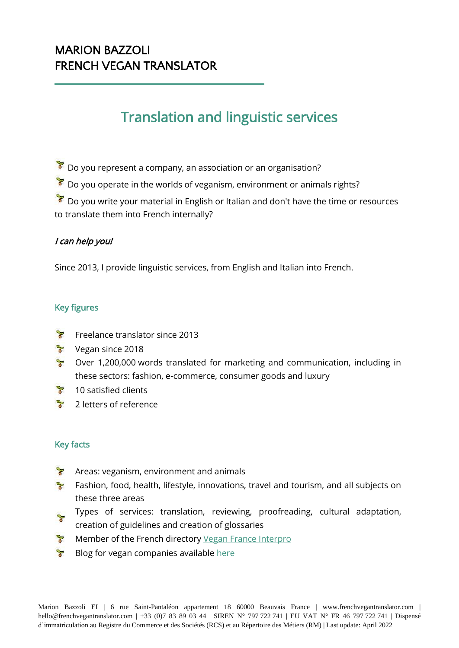# MARION BAZZOLI FRENCH VEGAN TRANSLATOR

# Translation and linguistic services

 $\delta$  Do you represent a company, an association or an organisation?

 $\delta$  Do you operate in the worlds of veganism, environment or animals rights?

 $\sqrt{\frac{1}{2}}$  Do you write your material in English or Italian and don't have the time or resources to translate them into French internally?

## I can help you!

Since 2013, I provide linguistic services, from English and Italian into French.

# Key figures

- $\mathbb{R}$ Freelance translator since 2013
- **Y** Vegan since 2018
- $P$ Over 1,200,000 words translated for marketing and communication, including in these sectors: fashion, e-commerce, consumer goods and luxury
- $\mathbb{R}^2$ 10 satisfied clients
- $P$ 2 letters of reference

## Key facts

- $P$ Areas: veganism, environment and animals
- Fashion, food, health, lifestyle, innovations, travel and tourism, and all subjects on these three areas
- $\mathbb{R}$ Types of services: translation, reviewing, proofreading, cultural adaptation,
- creation of guidelines and creation of glossaries
- **T** Member of the French directory [Vegan France Interpro](https://www.vegan-france.fr/adherents/)
- $\mathbb{R}^2$ Blog for vegan companies available [here](https://www.frenchvegantranslator.com/blog)